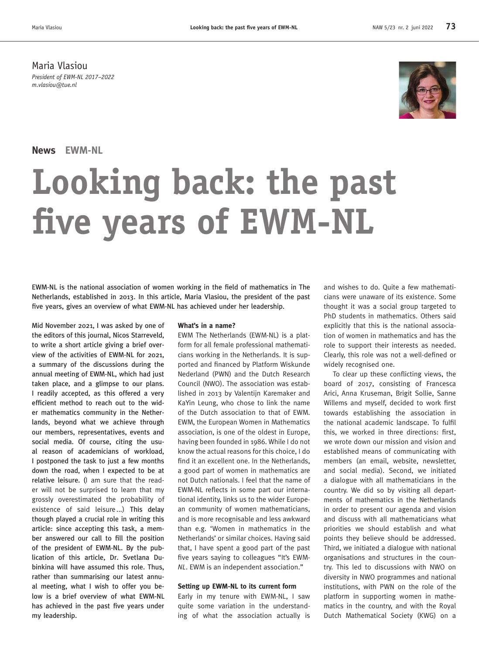Maria Vlasiou *President of EWM-NL 2017–2022 m.vlasiou@tue.nl*

# **News EWM-NL**

# **Looking back: the past five years of EWM-NL**

EWM-NL is the national association of women working in the field of mathematics in The Netherlands, established in 2013. In this article, Maria Vlasiou, the president of the past five years, gives an overview of what EWM-NL has achieved under her leadership.

Mid November 2021, I was asked by one of the editors of this journal, Nicos Starreveld, to write a short article giving a brief overview of the activities of EWM-NL for 2021, a summary of the discussions during the annual meeting of EWM-NL, which had just taken place, and a glimpse to our plans. I readily accepted, as this offered a very efficient method to reach out to the wider mathematics community in the Netherlands, beyond what we achieve through our members, representatives, events and social media. Of course, citing the usual reason of academicians of workload, I postponed the task to just a few months down the road, when I expected to be at relative leisure. (I am sure that the reader will not be surprised to learn that my grossly overestimated the probability of existence of said leisure...) This delay though played a crucial role in writing this article: since accepting this task, a member answered our call to fill the position of the president of EWM-NL. By the publication of this article, Dr. Svetlana Dubinkina will have assumed this role. Thus, rather than summarising our latest annual meeting, what I wish to offer you below is a brief overview of what EWM-NL has achieved in the past five years under my leadership.

## **What's in a name?**

EWM The Netherlands (EWM-NL) is a platform for all female professional mathematicians working in the Netherlands. It is supported and financed by Platform Wiskunde Nederland (PWN) and the Dutch Research Council (NWO). The association was established in 2013 by Valentijn Karemaker and KaYin Leung, who chose to link the name of the Dutch association to that of EWM. EWM, the European Women in Mathematics association, is one of the oldest in Europe, having been founded in 1986. While I do not know the actual reasons for this choice, I do find it an excellent one. In the Netherlands, a good part of women in mathematics are not Dutch nationals. I feel that the name of EWM-NL reflects in some part our international identity, links us to the wider European community of women mathematicians, and is more recognisable and less awkward than e.g. 'Women in mathematics in the Netherlands' or similar choices. Having said that, I have spent a good part of the past five years saying to colleagues "It's EWM-*NL*. EWM is an independent association."

# **Setting up EWM-NL to its current form**

Early in my tenure with EWM-NL, I saw quite some variation in the understanding of what the association actually is and wishes to do. Quite a few mathematicians were unaware of its existence. Some thought it was a social group targeted to PhD students in mathematics. Others said explicitly that this is the national association of women in mathematics and has the role to support their interests as needed. Clearly, this role was not a well-defined or widely recognised one.

To clear up these conflicting views, the board of 2017, consisting of Francesca Arici, Anna Kruseman, Brigit Sollie, Sanne Willems and myself, decided to work first towards establishing the association in the national academic landscape. To fulfil this, we worked in three directions: first, we wrote down our mission and vision and established means of communicating with members (an email, website, newsletter, and social media). Second, we initiated a dialogue with all mathematicians in the country. We did so by visiting all departments of mathematics in the Netherlands in order to present our agenda and vision and discuss with all mathematicians what priorities we should establish and what points they believe should be addressed. Third, we initiated a dialogue with national organisations and structures in the country. This led to discussions with NWO on diversity in NWO programmes and national institutions, with PWN on the role of the platform in supporting women in mathematics in the country, and with the Royal Dutch Mathematical Society (KWG) on a